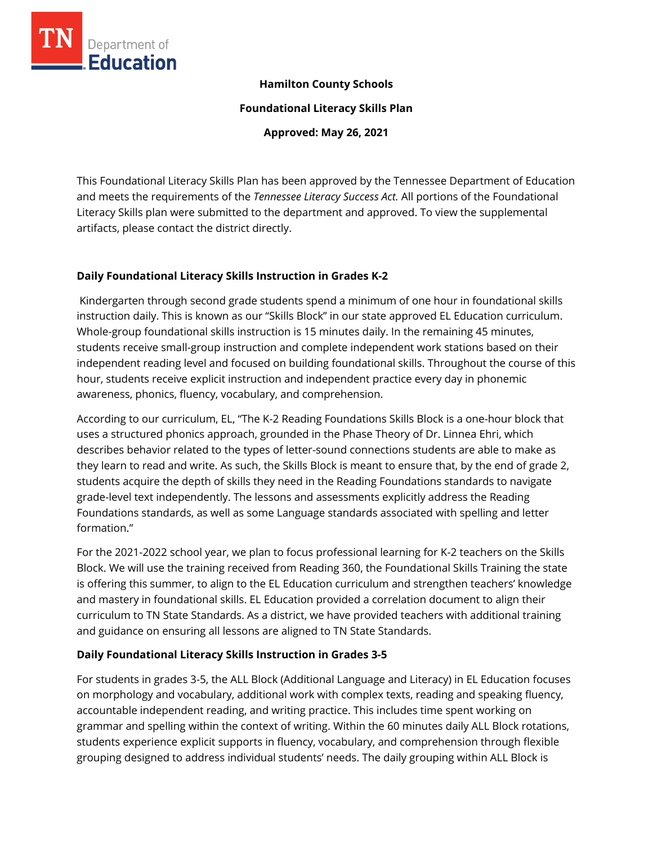

## **Hamilton County Schools**

**Foundational Literacy Skills Plan**

**Approved: May 26, 2021**

This Foundational Literacy Skills Plan has been approved by the Tennessee Department of Education and meets the requirements of the *Tennessee Literacy Success Act.* All portions of the Foundational Literacy Skills plan were submitted to the department and approved. To view the supplemental artifacts, please contact the district directly.

### **Daily Foundational Literacy Skills Instruction in Grades K-2**

Kindergarten through second grade students spend a minimum of one hour in foundational skills instruction daily. This is known as our "Skills Block" in our state approved EL Education curriculum. Whole-group foundational skills instruction is 15 minutes daily. In the remaining 45 minutes, students receive small-group instruction and complete independent work stations based on their independent reading level and focused on building foundational skills. Throughout the course of this hour, students receive explicit instruction and independent practice every day in phonemic awareness, phonics, fluency, vocabulary, and comprehension.

According to our curriculum, EL, "The K-2 Reading Foundations Skills Block is a one-hour block that uses a structured phonics approach, grounded in the Phase Theory of Dr. Linnea Ehri, which describes behavior related to the types of letter-sound connections students are able to make as they learn to read and write. As such, the Skills Block is meant to ensure that, by the end of grade 2, students acquire the depth of skills they need in the Reading Foundations standards to navigate grade-level text independently. The lessons and assessments explicitly address the Reading Foundations standards, as well as some Language standards associated with spelling and letter formation."

For the 2021-2022 school year, we plan to focus professional learning for K-2 teachers on the Skills Block. We will use the training received from Reading 360, the Foundational Skills Training the state is offering this summer, to align to the EL Education curriculum and strengthen teachers' knowledge and mastery in foundational skills. EL Education provided a correlation document to align their curriculum to TN State Standards. As a district, we have provided teachers with additional training and guidance on ensuring all lessons are aligned to TN State Standards.

### **Daily Foundational Literacy Skills Instruction in Grades 3-5**

For students in grades 3-5, the ALL Block (Additional Language and Literacy) in EL Education focuses on morphology and vocabulary, additional work with complex texts, reading and speaking fluency, accountable independent reading, and writing practice. This includes time spent working on grammar and spelling within the context of writing. Within the 60 minutes daily ALL Block rotations, students experience explicit supports in fluency, vocabulary, and comprehension through flexible grouping designed to address individual students' needs. The daily grouping within ALL Block is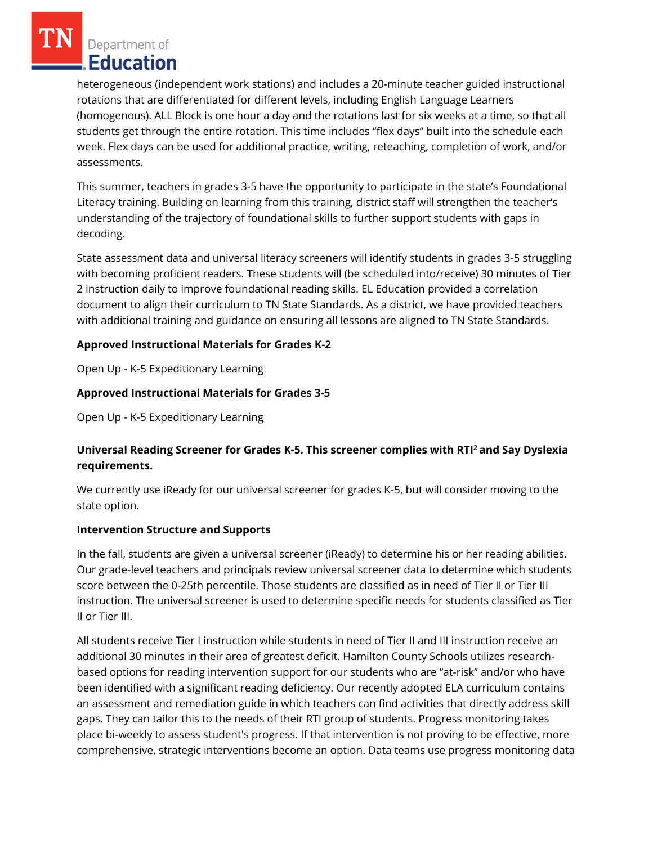Department of Education

heterogeneous (independent work stations) and includes a 20-minute teacher guided instructional rotations that are differentiated for different levels, including English Language Learners (homogenous). ALL Block is one hour a day and the rotations last for six weeks at a time, so that all students get through the entire rotation. This time includes "flex days" built into the schedule each week. Flex days can be used for additional practice, writing, reteaching, completion of work, and/or assessments.

This summer, teachers in grades 3-5 have the opportunity to participate in the state's Foundational Literacy training. Building on learning from this training, district staff will strengthen the teacher's understanding of the trajectory of foundational skills to further support students with gaps in decoding.

State assessment data and universal literacy screeners will identify students in grades 3-5 struggling with becoming proficient readers. These students will (be scheduled into/receive) 30 minutes of Tier 2 instruction daily to improve foundational reading skills. EL Education provided a correlation document to align their curriculum to TN State Standards. As a district, we have provided teachers with additional training and guidance on ensuring all lessons are aligned to TN State Standards.

## **Approved Instructional Materials for Grades K-2**

Open Up - K-5 Expeditionary Learning

### **Approved Instructional Materials for Grades 3-5**

Open Up - K-5 Expeditionary Learning

# **Universal Reading Screener for Grades K-5. This screener complies with RTI<sup>2</sup>and Say Dyslexia requirements.**

We currently use iReady for our universal screener for grades K-5, but will consider moving to the state option.

### **Intervention Structure and Supports**

In the fall, students are given a universal screener (iReady) to determine his or her reading abilities. Our grade-level teachers and principals review universal screener data to determine which students score between the 0-25th percentile. Those students are classified as in need of Tier II or Tier III instruction. The universal screener is used to determine specific needs for students classified as Tier II or Tier III.

All students receive Tier I instruction while students in need of Tier II and III instruction receive an additional 30 minutes in their area of greatest deficit. Hamilton County Schools utilizes researchbased options for reading intervention support for our students who are "at-risk" and/or who have been identified with a significant reading deficiency. Our recently adopted ELA curriculum contains an assessment and remediation guide in which teachers can find activities that directly address skill gaps. They can tailor this to the needs of their RTI group of students. Progress monitoring takes place bi-weekly to assess student's progress. If that intervention is not proving to be effective, more comprehensive, strategic interventions become an option. Data teams use progress monitoring data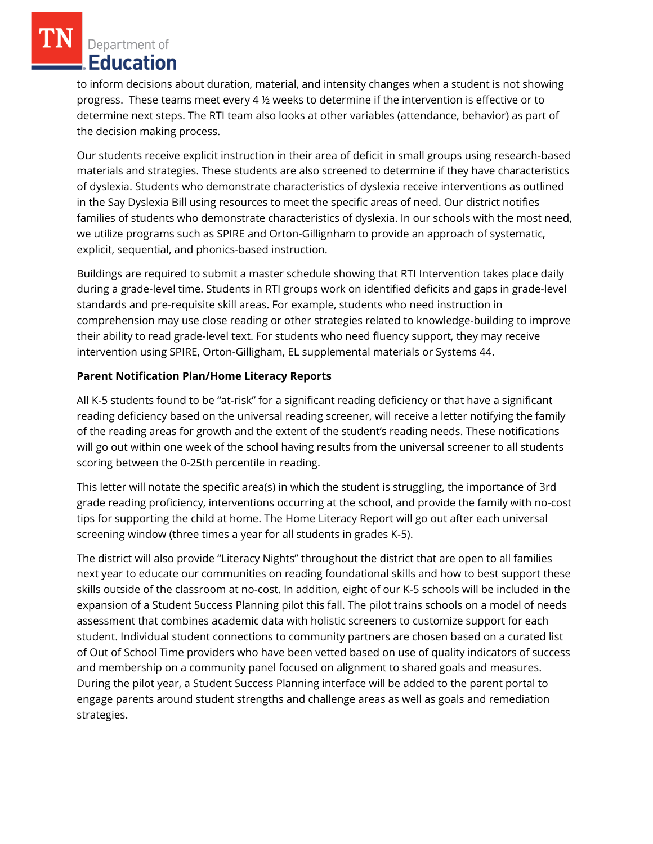Department of Education

to inform decisions about duration, material, and intensity changes when a student is not showing progress. These teams meet every 4 ½ weeks to determine if the intervention is effective or to determine next steps. The RTI team also looks at other variables (attendance, behavior) as part of the decision making process.

Our students receive explicit instruction in their area of deficit in small groups using research-based materials and strategies. These students are also screened to determine if they have characteristics of dyslexia. Students who demonstrate characteristics of dyslexia receive interventions as outlined in the Say Dyslexia Bill using resources to meet the specific areas of need. Our district notifies families of students who demonstrate characteristics of dyslexia. In our schools with the most need, we utilize programs such as SPIRE and Orton-Gillignham to provide an approach of systematic, explicit, sequential, and phonics-based instruction.

Buildings are required to submit a master schedule showing that RTI Intervention takes place daily during a grade-level time. Students in RTI groups work on identified deficits and gaps in grade-level standards and pre-requisite skill areas. For example, students who need instruction in comprehension may use close reading or other strategies related to knowledge-building to improve their ability to read grade-level text. For students who need fluency support, they may receive intervention using SPIRE, Orton-Gilligham, EL supplemental materials or Systems 44.

### **Parent Notification Plan/Home Literacy Reports**

All K-5 students found to be "at-risk" for a significant reading deficiency or that have a significant reading deficiency based on the universal reading screener, will receive a letter notifying the family of the reading areas for growth and the extent of the student's reading needs. These notifications will go out within one week of the school having results from the universal screener to all students scoring between the 0-25th percentile in reading.

This letter will notate the specific area(s) in which the student is struggling, the importance of 3rd grade reading proficiency, interventions occurring at the school, and provide the family with no-cost tips for supporting the child at home. The Home Literacy Report will go out after each universal screening window (three times a year for all students in grades K-5).

The district will also provide "Literacy Nights" throughout the district that are open to all families next year to educate our communities on reading foundational skills and how to best support these skills outside of the classroom at no-cost. In addition, eight of our K-5 schools will be included in the expansion of a Student Success Planning pilot this fall. The pilot trains schools on a model of needs assessment that combines academic data with holistic screeners to customize support for each student. Individual student connections to community partners are chosen based on a curated list of Out of School Time providers who have been vetted based on use of quality indicators of success and membership on a community panel focused on alignment to shared goals and measures. During the pilot year, a Student Success Planning interface will be added to the parent portal to engage parents around student strengths and challenge areas as well as goals and remediation strategies.